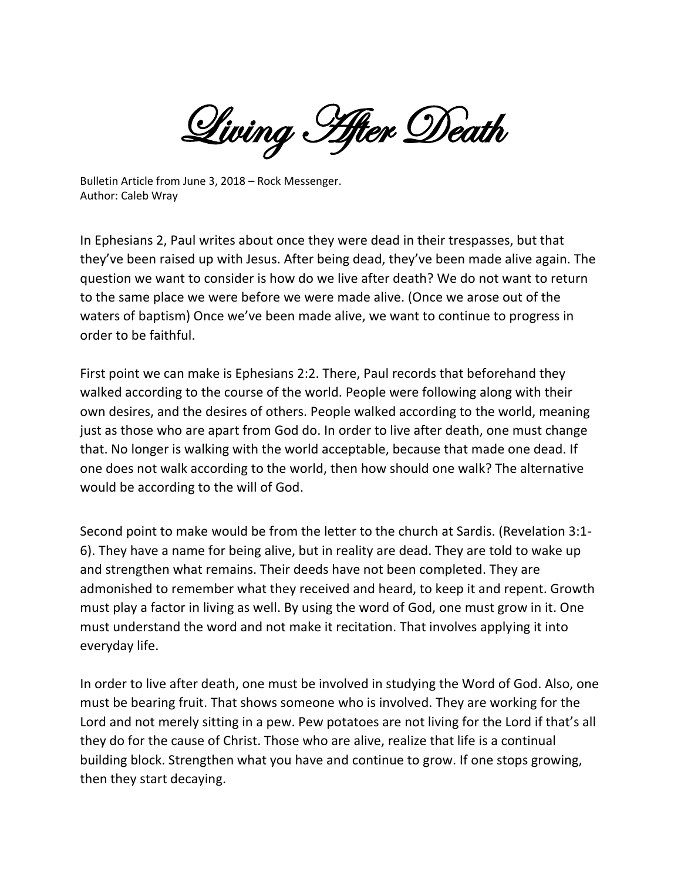Living After Death

Bulletin Article from June 3, 2018 – Rock Messenger. Author: Caleb Wray

In Ephesians 2, Paul writes about once they were dead in their trespasses, but that they've been raised up with Jesus. After being dead, they've been made alive again. The question we want to consider is how do we live after death? We do not want to return to the same place we were before we were made alive. (Once we arose out of the waters of baptism) Once we've been made alive, we want to continue to progress in order to be faithful.

First point we can make is Ephesians 2:2. There, Paul records that beforehand they walked according to the course of the world. People were following along with their own desires, and the desires of others. People walked according to the world, meaning just as those who are apart from God do. In order to live after death, one must change that. No longer is walking with the world acceptable, because that made one dead. If one does not walk according to the world, then how should one walk? The alternative would be according to the will of God.

Second point to make would be from the letter to the church at Sardis. (Revelation 3:1- 6). They have a name for being alive, but in reality are dead. They are told to wake up and strengthen what remains. Their deeds have not been completed. They are admonished to remember what they received and heard, to keep it and repent. Growth must play a factor in living as well. By using the word of God, one must grow in it. One must understand the word and not make it recitation. That involves applying it into everyday life.

In order to live after death, one must be involved in studying the Word of God. Also, one must be bearing fruit. That shows someone who is involved. They are working for the Lord and not merely sitting in a pew. Pew potatoes are not living for the Lord if that's all they do for the cause of Christ. Those who are alive, realize that life is a continual building block. Strengthen what you have and continue to grow. If one stops growing, then they start decaying.